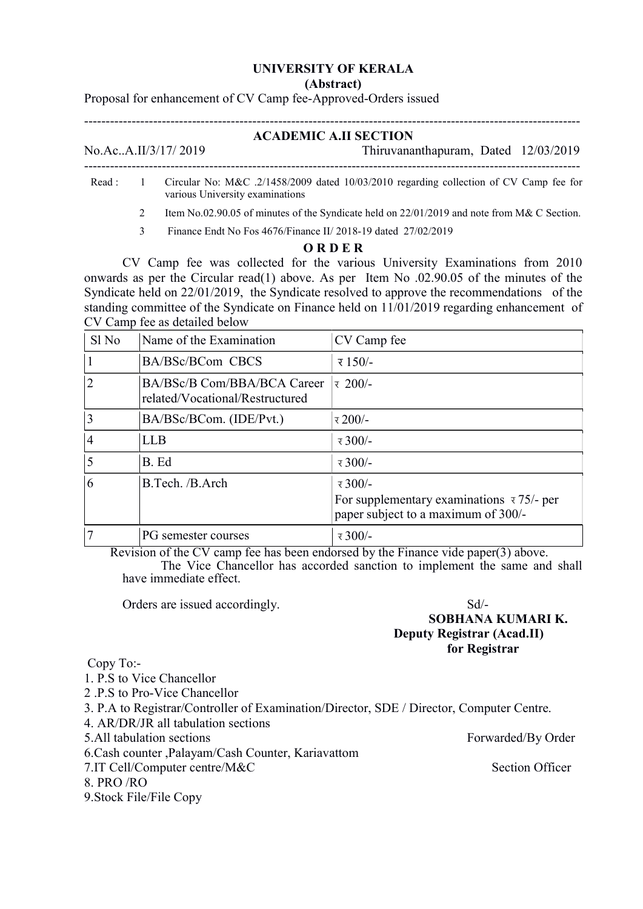## UNIVERSITY OF KERALA

(Abstract)

Proposal for enhancement of CV Camp fee-Approved-Orders issued

## $-$ ACADEMIC A.II SECTION

-------------------------------------------------------------------------------------------------------------------

No.Ac..A.II/3/17/ 2019 Thiruvananthapuram, Dated 12/03/2019

- Read : 1 Circular No: M&C .2/1458/2009 dated 10/03/2010 regarding collection of CV Camp fee for various University examinations
	- 2 Item No.02.90.05 of minutes of the Syndicate held on 22/01/2019 and note from M& C Section.
	- 3 Finance Endt No Fos 4676/Finance II/ 2018-19 dated 27/02/2019

## O R D E R

 CV Camp fee was collected for the various University Examinations from 2010 onwards as per the Circular read(1) above. As per Item No .02.90.05 of the minutes of the Syndicate held on 22/01/2019, the Syndicate resolved to approve the recommendations of the standing committee of the Syndicate on Finance held on 11/01/2019 regarding enhancement of CV Camp fee as detailed below

| $S1$ No | Name of the Examination                                        | CV Camp fee                                                                                                      |
|---------|----------------------------------------------------------------|------------------------------------------------------------------------------------------------------------------|
|         | BA/BSc/BCom CBCS                                               | $\bar{x}$ 150/-                                                                                                  |
| 2       | BA/BSc/B Com/BBA/BCA Career<br>related/Vocational/Restructured | $\bar{x}$ 200/-                                                                                                  |
| 3       | BA/BSc/BCom. (IDE/Pvt.)                                        | र 200/-                                                                                                          |
| 4       | <b>LLB</b>                                                     | $\bar{x}$ 300/-                                                                                                  |
|         | B. Ed                                                          | $\bar{x}$ 300/-                                                                                                  |
| b       | B.Tech. /B.Arch                                                | $\bar{x}$ 300/-<br>For supplementary examinations $\overline{x}$ 75/- per<br>paper subject to a maximum of 300/- |
|         | PG semester courses                                            | $\bar{x}$ 300/-                                                                                                  |

 Revision of the CV camp fee has been endorsed by the Finance vide paper(3) above. The Vice Chancellor has accorded sanction to implement the same and shall have immediate effect.

Orders are issued accordingly. Sd/-

## SOBHANA KUMARI K. Deputy Registrar (Acad.II) for Registrar

Copy To:-

1. P.S to Vice Chancellor

2 .P.S to Pro-Vice Chancellor

- 3. P.A to Registrar/Controller of Examination/Director, SDE / Director, Computer Centre.
- 4. AR/DR/JR all tabulation sections
- 5.All tabulation sections Forwarded/By Order
- 6.Cash counter ,Palayam/Cash Counter, Kariavattom
- 7.IT Cell/Computer centre/M&C Section Officer
- 8. PRO /RO

9.Stock File/File Copy